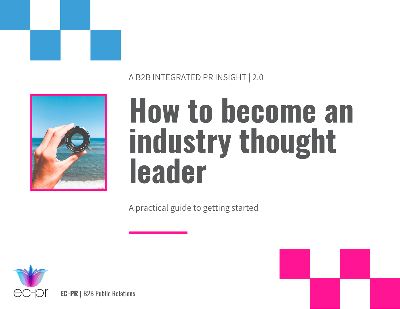

A B2B INTEGRATED PR INSIGHT | 2.0



## How to become an industry thought leader

A practical guide to getting started

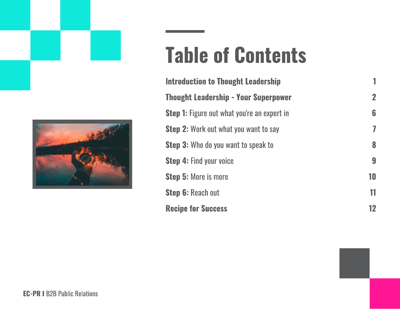

## Table of Contents

| <b>Introduction to Thought Leadership</b>          | 1              |
|----------------------------------------------------|----------------|
| <b>Thought Leadership - Your Superpower</b>        | $\overline{2}$ |
| <b>Step 1:</b> Figure out what you're an expert in | 6              |
| <b>Step 2:</b> Work out what you want to say       | 7              |
| <b>Step 3:</b> Who do you want to speak to         | 8              |
| <b>Step 4: Find your voice</b>                     | 9              |
| <b>Step 5: More is more</b>                        | 10             |
| <b>Step 6: Reach out</b>                           | 11             |
| <b>Recipe for Success</b>                          | 12             |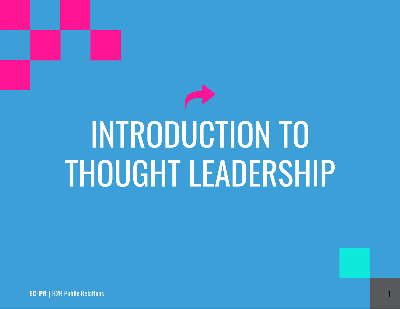# INTRODUCTION TO THOUGHT LEADERSHIP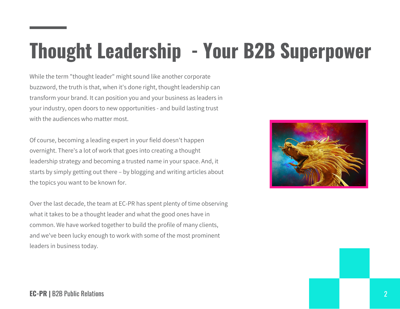## Thought Leadership - Your B2B Superpower

While the term "thought leader" might sound like another corporate buzzword, the truth is that, when it's done right, thought leadership can transform your brand. It can position you and your business as leaders in your industry, open doors to new opportunities - and build lasting trust with the audiences who matter most.

Of course, becoming a leading expert in your field doesn't happen overnight. There's a lot of work that goes into creating a thought leadership strategy and becoming a trusted name in your space. And, it starts by simply getting out there – by blogging and writing articles about the topics you want to be known for.

Over the last decade, the team at EC-PR has spent plenty of time observing what it takes to be a thought leader and what the good ones have in common. We have worked together to build the profile of many clients, and we've been lucky enough to work with some of the most prominent leaders in business today.

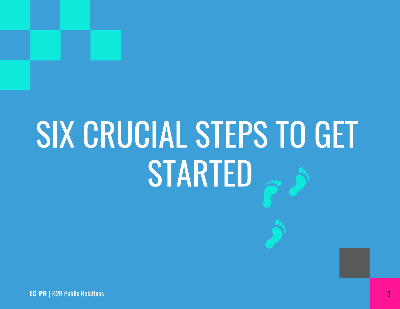## SIX CRUCIAL STEPS TO GET STARTED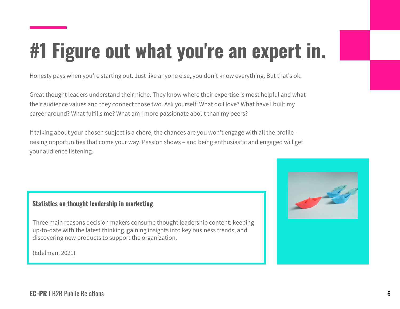## #1 Figure out what you're an expert in.

Honesty pays when you're starting out. Just like anyone else, you don't know everything. But that's ok.

Great thought leaders understand their niche. They know where their expertise is most helpful and what their audience values and they connect those two. Ask yourself: What do I love? What have I built my career around? What fulfills me? What am I more passionate about than my peers?

If talking about your chosen subject is a chore, the chances are you won't engage with all the profileraising opportunities that come your way. Passion shows – and being enthusiastic and engaged will get your audience listening.

#### Statistics on thought leadership in marketing

Three main reasons decision makers consume thought leadership content: keeping up-to-date with the latest thinking, gaining insights into key business trends, and discovering new products to support the organization.

(Edelman, 2021)

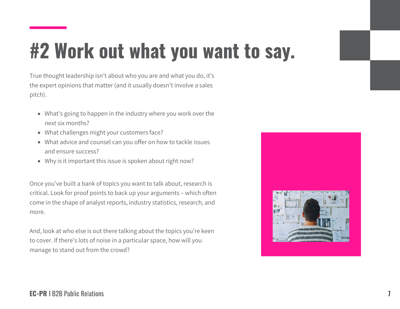## #2 Work out what you want to say.

True thought leadership isn't about who you are and what you do, it's the expert opinions that matter (and it usually doesn't involve a sales pitch).

- What's going to happen in the industry where you work over the next six months?
- What challenges might your customers face?
- What advice and counsel can you offer on how to tackle issues and ensure success?
- Why is it important this issue is spoken about right now?

Once you've built a bank of topics you want to talk about, research is critical. Look for proof points to back up your arguments – which often come in the shape of analyst reports, industry statistics, research, and more.

And, look at who else is out there talking about the topics you're keen to cover. If there's lots of noise in a particular space, how will you manage to stand out from the crowd?

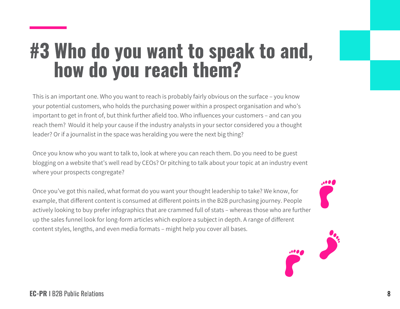#### #3 Who do you want to speak to and, how do you reach them?

This is an important one. Who you want to reach is probably fairly obvious on the surface – you know your potential customers, who holds the purchasing power within a prospect organisation and who's important to get in front of, but think further afield too. Who influences your customers – and can you reach them? Would it help your cause if the industry analysts in your sector considered you a thought leader? Or if a journalist in the space was heralding you were the next big thing?

Once you know who you want to talk to, look at where you can reach them. Do you need to be guest blogging on a website that's well read by CEOs? Or pitching to talk about your topic at an industry event where your prospects congregate?

Once you've got this nailed, what format do you want your thought leadership to take? We know, for example, that different content is consumed at different points in the B2B purchasing journey. People actively looking to buy prefer infographics that are crammed full of stats – whereas those who are further up the sales funnel look for long-form articles which explore a subject in depth. A range of different content styles, lengths, and even media formats – might help you cover all bases.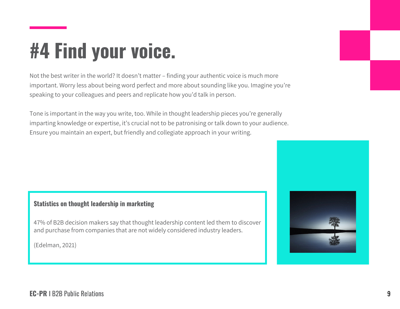### #4 Find your voice.

Not the best writer in the world? It doesn't matter – finding your authentic voice is much more important. Worry less about being word perfect and more about sounding like you. Imagine you're speaking to your colleagues and peers and replicate how you'd talk in person.

Tone is important in the way you write, too. While in thought leadership pieces you're generally imparting knowledge or expertise, it's crucial not to be patronising or talk down to your audience. Ensure you maintain an expert, but friendly and collegiate approach in your writing.

#### Statistics on thought leadership in marketing

47% of B2B decision makers say that thought leadership content led them to discover and purchase from companies that are not widely considered industry leaders.

(Edelman, 2021)

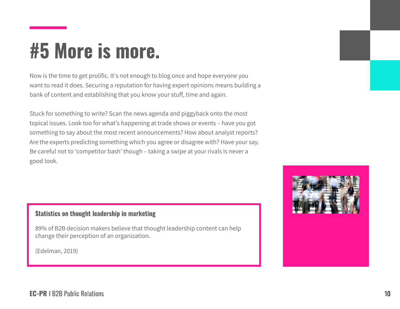#### #5 More is more.

Now is the time to get prolific. It's not enough to blog once and hope everyone you want to read it does. Securing a reputation for having expert opinions means building a bank of content and establishing that you know your stuff, time and again.

Stuck for something to write? Scan the news agenda and piggyback onto the most topical issues. Look too for what's happening at trade shows or events – have you got something to say about the most recent announcements? How about analyst reports? Are the experts predicting something which you agree or disagree with? Have your say. Be careful not to 'competitor bash' though – taking a swipe at your rivals is never a good look.

#### Statistics on thought leadership in marketing

89% of B2B decision makers believe that thought leadership content can help change their perception of an organization.

(Edelman, 2019)

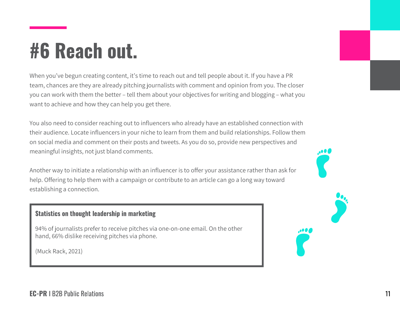### #6 Reach out.

When you've begun creating content, it's time to reach out and tell people about it. If you have a PR team, chances are they are already pitching journalists with comment and opinion from you. The closer you can work with them the better – tell them about your objectives for writing and blogging – what you want to achieve and how they can help you get there.

You also need to consider reaching out to influencers who already have an established connection with their audience. Locate influencers in your niche to learn from them and build relationships. Follow them on social media and comment on their posts and tweets. As you do so, provide new perspectives and meaningful insights, not just bland comments.

Another way to initiate a relationship with an influencer is to offer your assistance rather than ask for help. Offering to help them with a campaign or contribute to an article can go a long way toward establishing a connection.

#### Statistics on thought leadership in marketing

94% of journalists prefer to receive pitches via one-on-one email. On the other hand, 66% dislike receiving pitches via phone.

(Muck Rack, 2021)



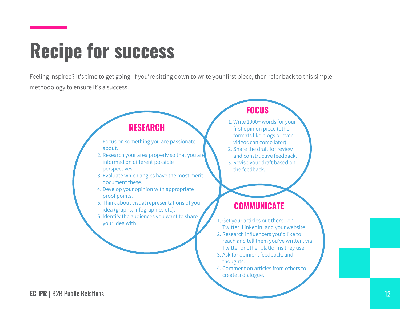#### Recipe for success

Feeling inspired? It's time to get going. If you're sitting down to write your first piece, then refer back to this simple methodology to ensure it's a success.